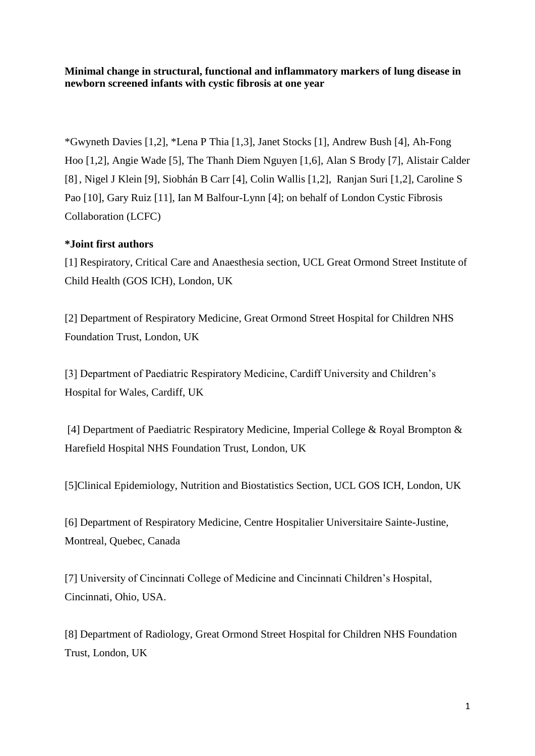**Minimal change in structural, functional and inflammatory markers of lung disease in newborn screened infants with cystic fibrosis at one year**

\*Gwyneth Davies [1,2], \*Lena P Thia [1,3], Janet Stocks [1], Andrew Bush [4], Ah-Fong Hoo [1,2], Angie Wade [5], The Thanh Diem Nguyen [1,6], Alan S Brody [7], Alistair Calder [8] , Nigel J Klein [9], Siobhán B Carr [4], Colin Wallis [1,2], Ranjan Suri [1,2], Caroline S Pao [10], Gary Ruiz [11], Ian M Balfour-Lynn [4]; on behalf of London Cystic Fibrosis Collaboration (LCFC)

# **\*Joint first authors**

[1] Respiratory, Critical Care and Anaesthesia section, UCL Great Ormond Street Institute of Child Health (GOS ICH), London, UK

[2] Department of Respiratory Medicine, Great Ormond Street Hospital for Children NHS Foundation Trust, London, UK

[3] Department of Paediatric Respiratory Medicine, Cardiff University and Children's Hospital for Wales, Cardiff, UK

[4] Department of Paediatric Respiratory Medicine, Imperial College & Royal Brompton & Harefield Hospital NHS Foundation Trust, London, UK

[5]Clinical Epidemiology, Nutrition and Biostatistics Section, UCL GOS ICH, London, UK

[6] Department of Respiratory Medicine, Centre Hospitalier Universitaire Sainte-Justine, Montreal, Quebec, Canada

[7] University of Cincinnati College of Medicine and Cincinnati Children's Hospital, Cincinnati, Ohio, USA.

[8] Department of Radiology, Great Ormond Street Hospital for Children NHS Foundation Trust, London, UK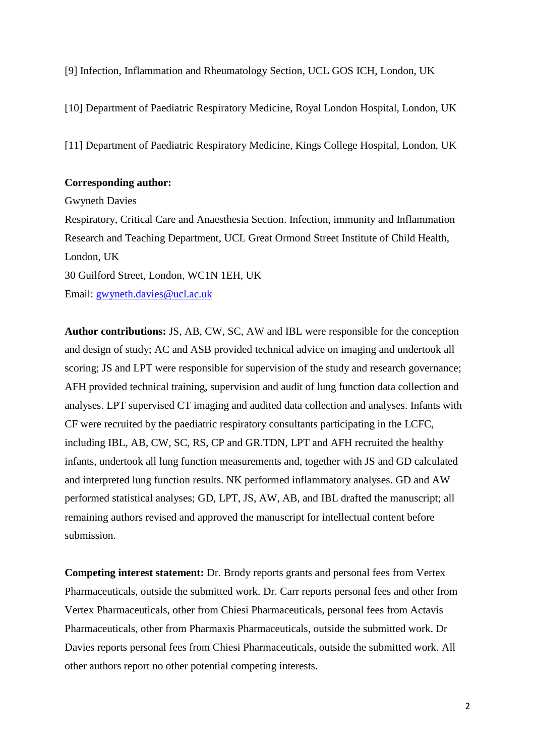[9] Infection, Inflammation and Rheumatology Section, UCL GOS ICH, London, UK

[10] Department of Paediatric Respiratory Medicine, Royal London Hospital, London, UK

[11] Department of Paediatric Respiratory Medicine, Kings College Hospital, London, UK

#### **Corresponding author:**

Gwyneth Davies Respiratory, Critical Care and Anaesthesia Section. Infection, immunity and Inflammation Research and Teaching Department, UCL Great Ormond Street Institute of Child Health, London, UK 30 Guilford Street, London, WC1N 1EH, UK Email: [gwyneth.davies@ucl.ac.uk](mailto:gwyneth.davies@ucl.ac.uk)

**Author contributions:** JS, AB, CW, SC, AW and IBL were responsible for the conception and design of study; AC and ASB provided technical advice on imaging and undertook all scoring; JS and LPT were responsible for supervision of the study and research governance; AFH provided technical training, supervision and audit of lung function data collection and analyses. LPT supervised CT imaging and audited data collection and analyses. Infants with CF were recruited by the paediatric respiratory consultants participating in the LCFC, including IBL, AB, CW, SC, RS, CP and GR.TDN, LPT and AFH recruited the healthy infants, undertook all lung function measurements and, together with JS and GD calculated and interpreted lung function results. NK performed inflammatory analyses. GD and AW performed statistical analyses; GD, LPT, JS, AW, AB, and IBL drafted the manuscript; all remaining authors revised and approved the manuscript for intellectual content before submission.

**Competing interest statement:** Dr. Brody reports grants and personal fees from Vertex Pharmaceuticals, outside the submitted work. Dr. Carr reports personal fees and other from Vertex Pharmaceuticals, other from Chiesi Pharmaceuticals, personal fees from Actavis Pharmaceuticals, other from Pharmaxis Pharmaceuticals, outside the submitted work. Dr Davies reports personal fees from Chiesi Pharmaceuticals, outside the submitted work. All other authors report no other potential competing interests.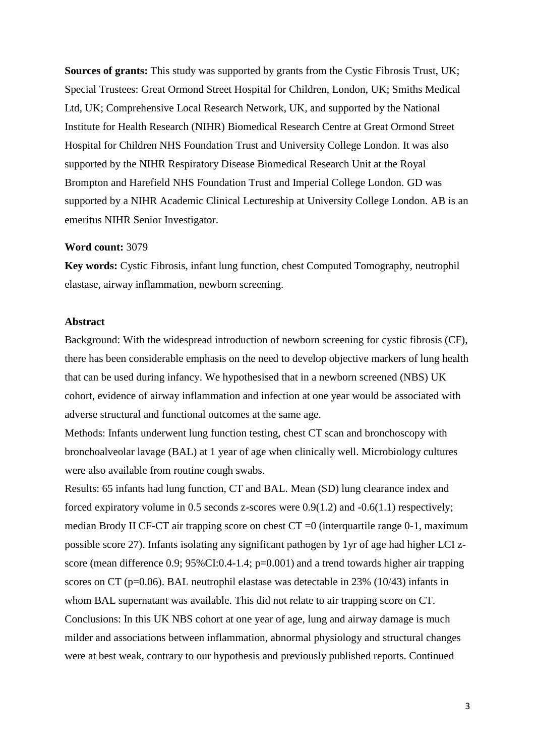**Sources of grants:** This study was supported by grants from the Cystic Fibrosis Trust, UK; Special Trustees: Great Ormond Street Hospital for Children, London, UK; Smiths Medical Ltd, UK; Comprehensive Local Research Network, UK, and supported by the National Institute for Health Research (NIHR) Biomedical Research Centre at Great Ormond Street Hospital for Children NHS Foundation Trust and University College London. It was also supported by the NIHR Respiratory Disease Biomedical Research Unit at the Royal Brompton and Harefield NHS Foundation Trust and Imperial College London. GD was supported by a NIHR Academic Clinical Lectureship at University College London. AB is an emeritus NIHR Senior Investigator.

#### **Word count:** 3079

**Key words:** Cystic Fibrosis, infant lung function, chest Computed Tomography, neutrophil elastase, airway inflammation, newborn screening.

#### **Abstract**

Background: With the widespread introduction of newborn screening for cystic fibrosis (CF), there has been considerable emphasis on the need to develop objective markers of lung health that can be used during infancy. We hypothesised that in a newborn screened (NBS) UK cohort, evidence of airway inflammation and infection at one year would be associated with adverse structural and functional outcomes at the same age.

Methods: Infants underwent lung function testing, chest CT scan and bronchoscopy with bronchoalveolar lavage (BAL) at 1 year of age when clinically well. Microbiology cultures were also available from routine cough swabs.

Results: 65 infants had lung function, CT and BAL. Mean (SD) lung clearance index and forced expiratory volume in 0.5 seconds z-scores were 0.9(1.2) and -0.6(1.1) respectively; median Brody II CF-CT air trapping score on chest CT =0 (interquartile range 0-1, maximum possible score 27). Infants isolating any significant pathogen by 1yr of age had higher LCI zscore (mean difference 0.9;  $95\%$ CI:0.4-1.4; p=0.001) and a trend towards higher air trapping scores on CT (p=0.06). BAL neutrophil elastase was detectable in 23% (10/43) infants in whom BAL supernatant was available. This did not relate to air trapping score on CT. Conclusions: In this UK NBS cohort at one year of age, lung and airway damage is much milder and associations between inflammation, abnormal physiology and structural changes were at best weak, contrary to our hypothesis and previously published reports. Continued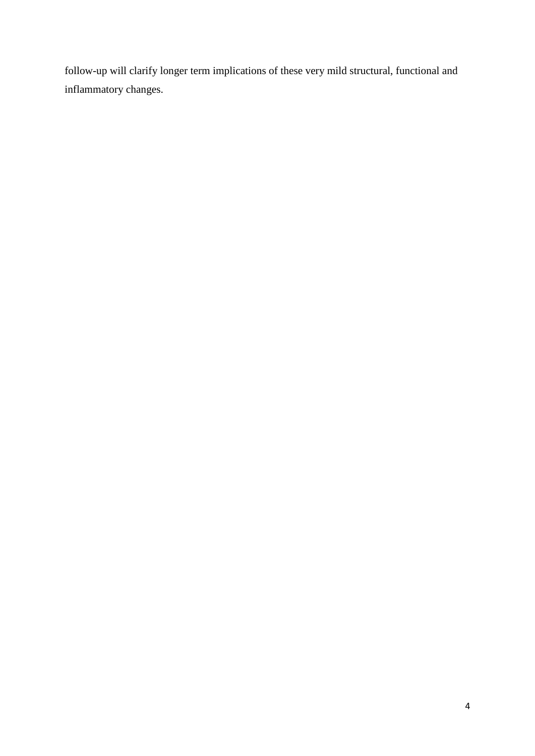follow-up will clarify longer term implications of these very mild structural, functional and inflammatory changes.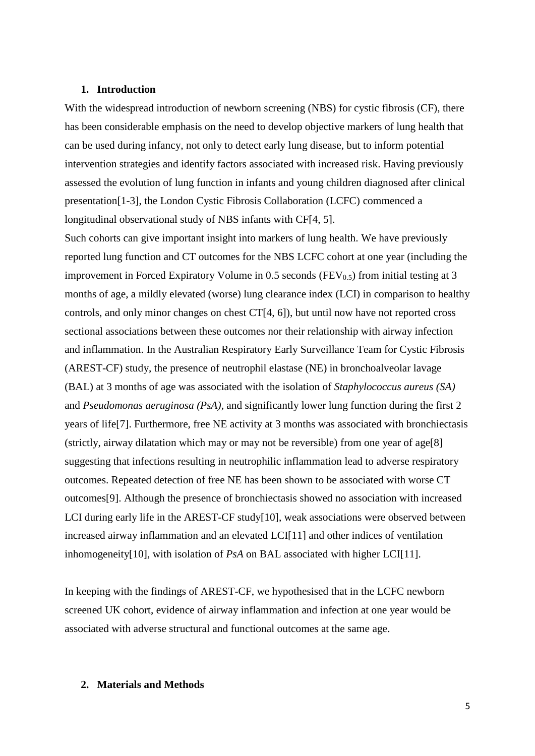#### **1. Introduction**

With the widespread introduction of newborn screening (NBS) for cystic fibrosis (CF), there has been considerable emphasis on the need to develop objective markers of lung health that can be used during infancy, not only to detect early lung disease, but to inform potential intervention strategies and identify factors associated with increased risk. Having previously assessed the evolution of lung function in infants and young children diagnosed after clinical presentation[\[1-3\]](#page-21-0), the London Cystic Fibrosis Collaboration (LCFC) commenced a longitudinal observational study of NBS infants with CF[\[4,](#page-21-1) [5\]](#page-21-2).

Such cohorts can give important insight into markers of lung health. We have previously reported lung function and CT outcomes for the NBS LCFC cohort at one year (including the improvement in Forced Expiratory Volume in 0.5 seconds ( $FEV<sub>0.5</sub>$ ) from initial testing at 3 months of age, a mildly elevated (worse) lung clearance index (LCI) in comparison to healthy controls, and only minor changes on chest CT[\[4,](#page-21-1) [6\]](#page-21-3)), but until now have not reported cross sectional associations between these outcomes nor their relationship with airway infection and inflammation. In the Australian Respiratory Early Surveillance Team for Cystic Fibrosis (AREST-CF) study, the presence of neutrophil elastase (NE) in bronchoalveolar lavage (BAL) at 3 months of age was associated with the isolation of *Staphylococcus aureus (SA)* and *Pseudomonas aeruginosa (PsA)*, and significantly lower lung function during the first 2 years of life[\[7\]](#page-21-4). Furthermore, free NE activity at 3 months was associated with bronchiectasis (strictly, airway dilatation which may or may not be reversible) from one year of age[\[8\]](#page-21-5) suggesting that infections resulting in neutrophilic inflammation lead to adverse respiratory outcomes. Repeated detection of free NE has been shown to be associated with worse CT outcomes[\[9\]](#page-21-6). Although the presence of bronchiectasis showed no association with increased LCI during early life in the AREST-CF study[\[10\]](#page-21-7), weak associations were observed between increased airway inflammation and an elevated LCI[\[11\]](#page-21-8) and other indices of ventilation inhomogeneity[\[10\]](#page-21-7), with isolation of *PsA* on BAL associated with higher LCI[\[11\]](#page-21-8).

In keeping with the findings of AREST-CF, we hypothesised that in the LCFC newborn screened UK cohort, evidence of airway inflammation and infection at one year would be associated with adverse structural and functional outcomes at the same age.

#### **2. Materials and Methods**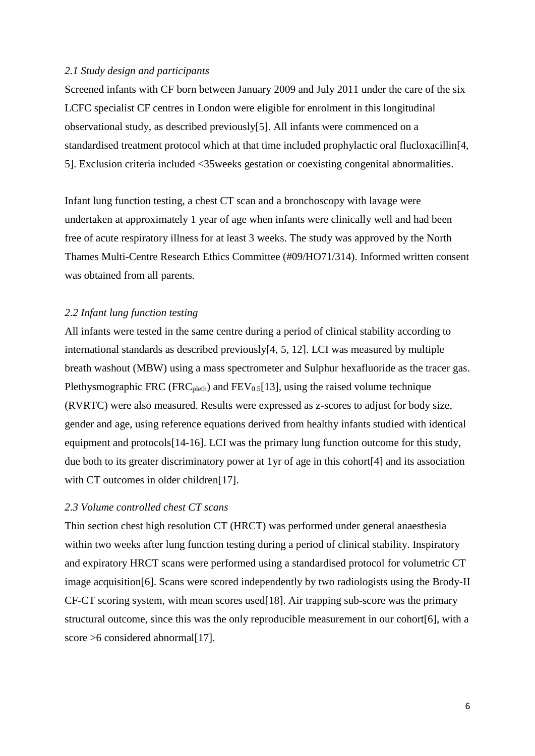## *2.1 Study design and participants*

Screened infants with CF born between January 2009 and July 2011 under the care of the six LCFC specialist CF centres in London were eligible for enrolment in this longitudinal observational study, as described previously[\[5\]](#page-21-2). All infants were commenced on a standardised treatment protocol which at that time included prophylactic oral flucloxacillin[\[4,](#page-21-1) [5\]](#page-21-2). Exclusion criteria included <35weeks gestation or coexisting congenital abnormalities.

Infant lung function testing, a chest CT scan and a bronchoscopy with lavage were undertaken at approximately 1 year of age when infants were clinically well and had been free of acute respiratory illness for at least 3 weeks. The study was approved by the North Thames Multi-Centre Research Ethics Committee (#09/HO71/314). Informed written consent was obtained from all parents.

## *2.2 Infant lung function testing*

All infants were tested in the same centre during a period of clinical stability according to international standards as described previously[\[4,](#page-21-1) [5,](#page-21-2) [12\]](#page-21-9). LCI was measured by multiple breath washout (MBW) using a mass spectrometer and Sulphur hexafluoride as the tracer gas. Plethysmographic FRC (FRC<sub>pleth</sub>) and FEV<sub>0.5</sub>[\[13\]](#page-21-10), using the raised volume technique (RVRTC) were also measured. Results were expressed as z-scores to adjust for body size, gender and age, using reference equations derived from healthy infants studied with identical equipment and protocols[\[14-16\]](#page-21-11). LCI was the primary lung function outcome for this study, due both to its greater discriminatory power at 1yr of age in this cohort[\[4\]](#page-21-1) and its association with CT outcomes in older children[\[17\]](#page-21-12).

## *2.3 Volume controlled chest CT scans*

Thin section chest high resolution CT (HRCT) was performed under general anaesthesia within two weeks after lung function testing during a period of clinical stability. Inspiratory and expiratory HRCT scans were performed using a standardised protocol for volumetric CT image acquisition[\[6\]](#page-21-3). Scans were scored independently by two radiologists using the Brody-II CF-CT scoring system, with mean scores used[\[18\]](#page-22-0). Air trapping sub-score was the primary structural outcome, since this was the only reproducible measurement in our cohort[\[6\]](#page-21-3), with a score >6 considered abnormal[\[17\]](#page-21-12).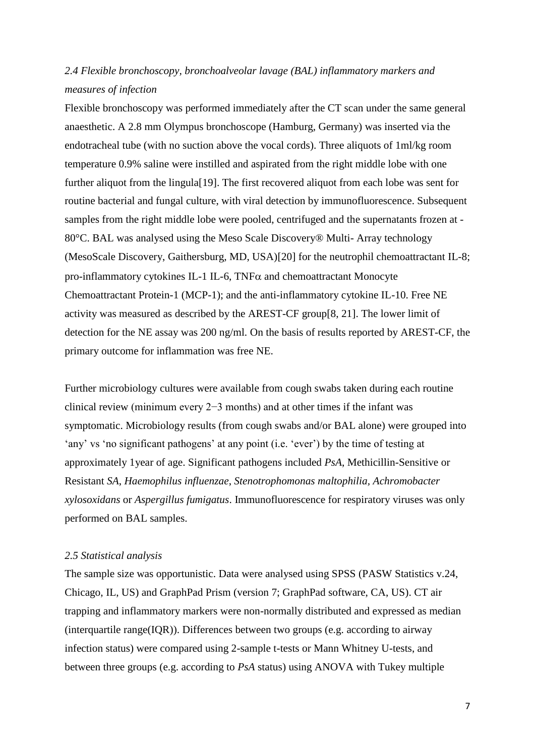# *2.4 Flexible bronchoscopy, bronchoalveolar lavage (BAL) inflammatory markers and measures of infection*

Flexible bronchoscopy was performed immediately after the CT scan under the same general anaesthetic. A 2.8 mm Olympus bronchoscope (Hamburg, Germany) was inserted via the endotracheal tube (with no suction above the vocal cords). Three aliquots of 1ml/kg room temperature 0.9% saline were instilled and aspirated from the right middle lobe with one further aliquot from the lingula[\[19\]](#page-22-1). The first recovered aliquot from each lobe was sent for routine bacterial and fungal culture, with viral detection by immunofluorescence. Subsequent samples from the right middle lobe were pooled, centrifuged and the supernatants frozen at - 80°C. BAL was analysed using the Meso Scale Discovery® Multi- Array technology (MesoScale Discovery, Gaithersburg, MD, USA)[\[20\]](#page-22-2) for the neutrophil chemoattractant IL-8; pro-inflammatory cytokines IL-1 IL-6,  $TNF\alpha$  and chemoattractant Monocyte Chemoattractant Protein-1 (MCP-1); and the anti-inflammatory cytokine IL-10. Free NE activity was measured as described by the AREST-CF group[\[8,](#page-21-5) [21\]](#page-22-3). The lower limit of detection for the NE assay was 200 ng/ml. On the basis of results reported by AREST-CF, the primary outcome for inflammation was free NE.

Further microbiology cultures were available from cough swabs taken during each routine clinical review (minimum every 2−3 months) and at other times if the infant was symptomatic. Microbiology results (from cough swabs and/or BAL alone) were grouped into 'any' vs 'no significant pathogens' at any point (i.e. 'ever') by the time of testing at approximately 1year of age. Significant pathogens included *PsA*, Methicillin-Sensitive or Resistant *SA*, *Haemophilus influenzae*, *Stenotrophomonas maltophilia, Achromobacter xylosoxidans* or *Aspergillus fumigatus*. Immunofluorescence for respiratory viruses was only performed on BAL samples.

## *2.5 Statistical analysis*

The sample size was opportunistic. Data were analysed using SPSS (PASW Statistics v.24, Chicago, IL, US) and GraphPad Prism (version 7; GraphPad software, CA, US). CT air trapping and inflammatory markers were non-normally distributed and expressed as median (interquartile range(IQR)). Differences between two groups (e.g. according to airway infection status) were compared using 2-sample t-tests or Mann Whitney U-tests, and between three groups (e.g. according to *PsA* status) using ANOVA with Tukey multiple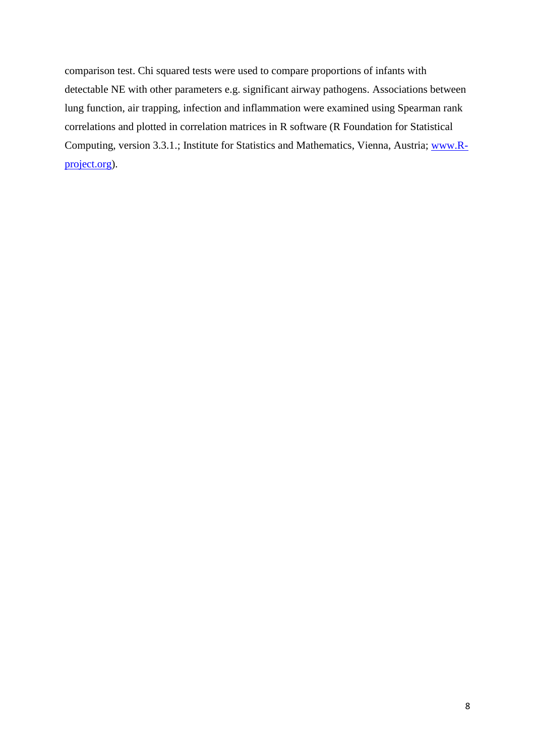comparison test. Chi squared tests were used to compare proportions of infants with detectable NE with other parameters e.g. significant airway pathogens. Associations between lung function, air trapping, infection and inflammation were examined using Spearman rank correlations and plotted in correlation matrices in R software (R Foundation for Statistical Computing, version 3.3.1.; Institute for Statistics and Mathematics, Vienna, Austria; [www.R](http://www.r-project.org/)[project.org\)](http://www.r-project.org/).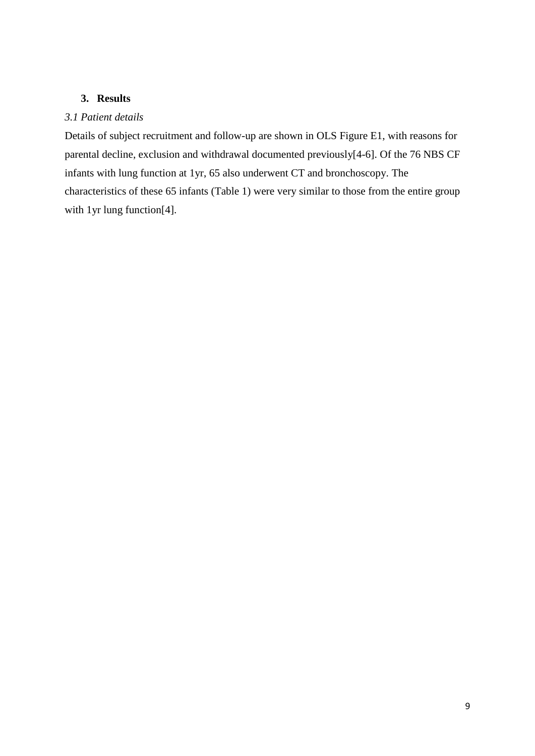## **3. Results**

## *3.1 Patient details*

Details of subject recruitment and follow-up are shown in OLS Figure E1, with reasons for parental decline, exclusion and withdrawal documented previously[\[4-6\]](#page-21-1). Of the 76 NBS CF infants with lung function at 1yr, 65 also underwent CT and bronchoscopy. The characteristics of these 65 infants (Table 1) were very similar to those from the entire group with 1yr lung function<sup>[\[4\]](#page-21-1)</sup>.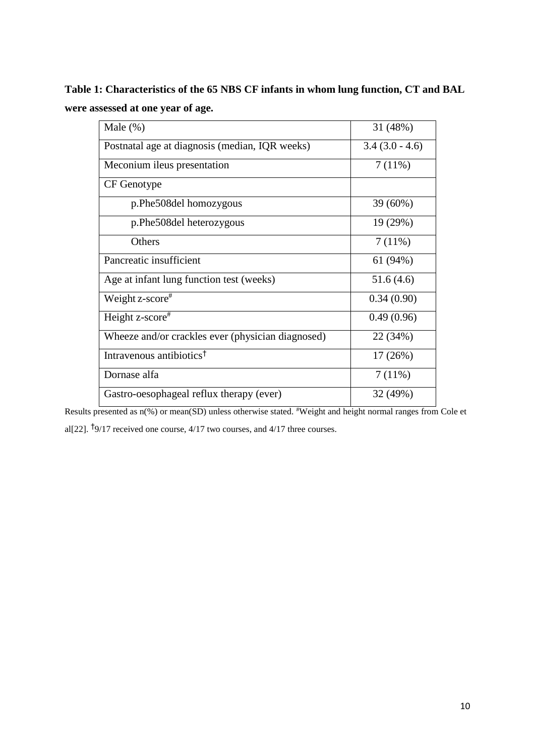**Table 1: Characteristics of the 65 NBS CF infants in whom lung function, CT and BAL were assessed at one year of age.** 

| Male $(\%)$                                       | 31 (48%)         |
|---------------------------------------------------|------------------|
| Postnatal age at diagnosis (median, IQR weeks)    | $3.4(3.0 - 4.6)$ |
| Meconium ileus presentation                       | 7(11%)           |
| CF Genotype                                       |                  |
| p.Phe508del homozygous                            | 39 (60%)         |
| p.Phe508del heterozygous                          | 19 (29%)         |
| Others                                            | 7(11%)           |
| Pancreatic insufficient                           | 61(94%)          |
| Age at infant lung function test (weeks)          | 51.6(4.6)        |
| Weight z-score <sup>#</sup>                       | 0.34(0.90)       |
| Height z-score#                                   | 0.49(0.96)       |
| Wheeze and/or crackles ever (physician diagnosed) | 22 (34%)         |
| Intravenous antibiotics <sup>†</sup>              | 17(26%)          |
| Dornase alfa                                      | 7(11%)           |
| Gastro-oesophageal reflux therapy (ever)          | 32 (49%)         |

Results presented as n(%) or mean(SD) unless otherwise stated. #Weight and height normal ranges from Cole et al[\[22\]](#page-22-4). † 9/17 received one course, 4/17 two courses, and 4/17 three courses.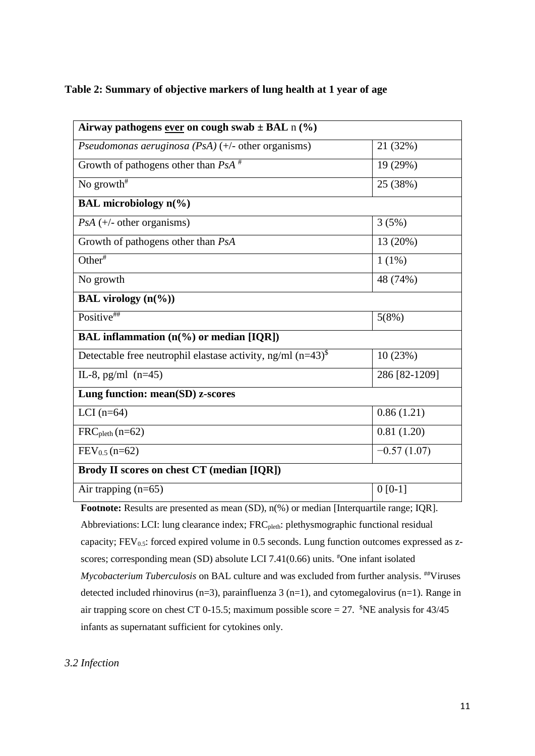## **Table 2: Summary of objective markers of lung health at 1 year of age**

| Airway pathogens ever on cough swab $\pm$ BAL n (%)                                      |               |
|------------------------------------------------------------------------------------------|---------------|
| Pseudomonas aeruginosa (PsA) $(+/-$ other organisms)                                     | 21 (32%)      |
| Growth of pathogens other than $PsA^*$                                                   | 19 (29%)      |
| No growth <sup>#</sup>                                                                   | 25 (38%)      |
| <b>BAL</b> microbiology n(%)                                                             |               |
| $PsA (+/- other organisms)$                                                              | 3(5%)         |
| Growth of pathogens other than PsA                                                       | 13 (20%)      |
| Other <sup>#</sup>                                                                       | $1(1\%)$      |
| No growth                                                                                | 48 (74%)      |
| <b>BAL</b> virology $(n\ell\%)$                                                          |               |
| Positive##                                                                               | 5(8%)         |
| BAL inflammation (n(%) or median [IQR])                                                  |               |
| Detectable free neutrophil elastase activity, ng/ml $(n=43)^{\$}$                        | 10(23%)       |
| IL-8, pg/ml $(n=45)$                                                                     | 286 [82-1209] |
| Lung function: mean(SD) z-scores                                                         |               |
| LCI $(n=64)$                                                                             | 0.86(1.21)    |
| $FRC_{pleth}(n=62)$                                                                      | 0.81(1.20)    |
| $FEV_{0.5}$ (n=62)                                                                       | $-0.57(1.07)$ |
| Brody II scores on chest CT (median [IQR])                                               |               |
| Air trapping $(n=65)$                                                                    | $0 [0-1]$     |
| Footnote: Results are presented as mean (SD), n(%) or median [Interquartile range; IQR]. |               |

Abbreviations: LCI: lung clearance index; FRC<sub>pleth</sub>: plethysmographic functional residual capacity;  $FEV_{0.5}$ : forced expired volume in 0.5 seconds. Lung function outcomes expressed as zscores; corresponding mean (SD) absolute LCI 7.41(0.66) units. #One infant isolated Mycobacterium Tuberculosis on BAL culture and was excluded from further analysis. <sup>##</sup>Viruses detected included rhinovirus (n=3), parainfluenza 3 (n=1), and cytomegalovirus (n=1). Range in air trapping score on chest CT 0-15.5; maximum possible score = 27.  $N_{\text{E}}$  analysis for 43/45 infants as supernatant sufficient for cytokines only.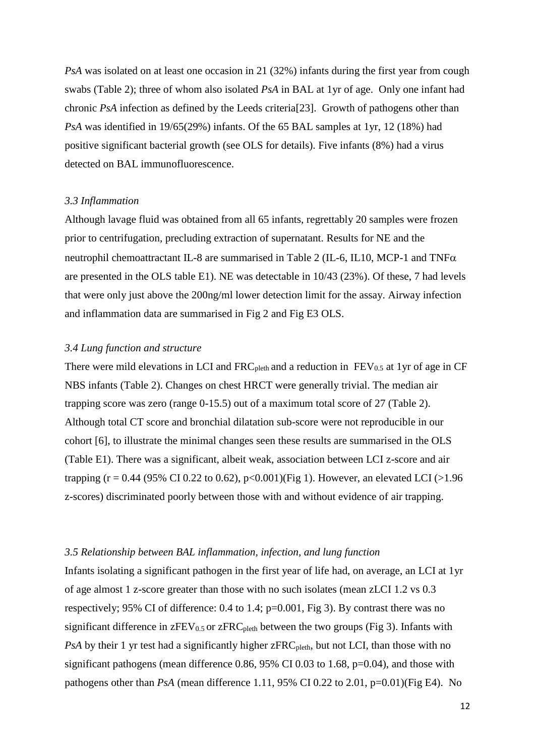*PsA* was isolated on at least one occasion in 21 (32%) infants during the first year from cough swabs (Table 2); three of whom also isolated *PsA* in BAL at 1yr of age. Only one infant had chronic *PsA* infection as defined by the Leeds criteria[\[23\]](#page-22-5). Growth of pathogens other than *PsA* was identified in 19/65(29%) infants. Of the 65 BAL samples at 1yr, 12 (18%) had positive significant bacterial growth (see OLS for details). Five infants (8%) had a virus detected on BAL immunofluorescence.

#### *3.3 Inflammation*

Although lavage fluid was obtained from all 65 infants, regrettably 20 samples were frozen prior to centrifugation, precluding extraction of supernatant. Results for NE and the neutrophil chemoattractant IL-8 are summarised in Table 2 (IL-6, IL10, MCP-1 and TNF $\alpha$ ) are presented in the OLS table E1). NE was detectable in 10/43 (23%). Of these, 7 had levels that were only just above the 200ng/ml lower detection limit for the assay. Airway infection and inflammation data are summarised in Fig 2 and Fig E3 OLS.

#### *3.4 Lung function and structure*

There were mild elevations in LCI and  $FRC_{\text{pleth}}$  and a reduction in  $FEV_{0.5}$  at 1yr of age in CF NBS infants (Table 2). Changes on chest HRCT were generally trivial. The median air trapping score was zero (range 0-15.5) out of a maximum total score of 27 (Table 2). Although total CT score and bronchial dilatation sub-score were not reproducible in our cohort [\[6\]](#page-21-3), to illustrate the minimal changes seen these results are summarised in the OLS (Table E1). There was a significant, albeit weak, association between LCI z-score and air trapping (r = 0.44 (95% CI 0.22 to 0.62), p<0.001)(Fig 1). However, an elevated LCI (>1.96 z-scores) discriminated poorly between those with and without evidence of air trapping.

#### *3.5 Relationship between BAL inflammation, infection, and lung function*

Infants isolating a significant pathogen in the first year of life had, on average, an LCI at 1yr of age almost 1 z-score greater than those with no such isolates (mean zLCI 1.2 vs 0.3 respectively; 95% CI of difference: 0.4 to 1.4; p=0.001, Fig 3). By contrast there was no significant difference in  $zFEV_{0.5}$  or  $zFRC_{\text{pleth}}$  between the two groups (Fig 3). Infants with *PsA* by their 1 yr test had a significantly higher zFRC<sub>pleth</sub>, but not LCI, than those with no significant pathogens (mean difference 0.86, 95% CI 0.03 to 1.68,  $p=0.04$ ), and those with pathogens other than  $PsA$  (mean difference 1.11, 95% CI 0.22 to 2.01, p=0.01)(Fig E4). No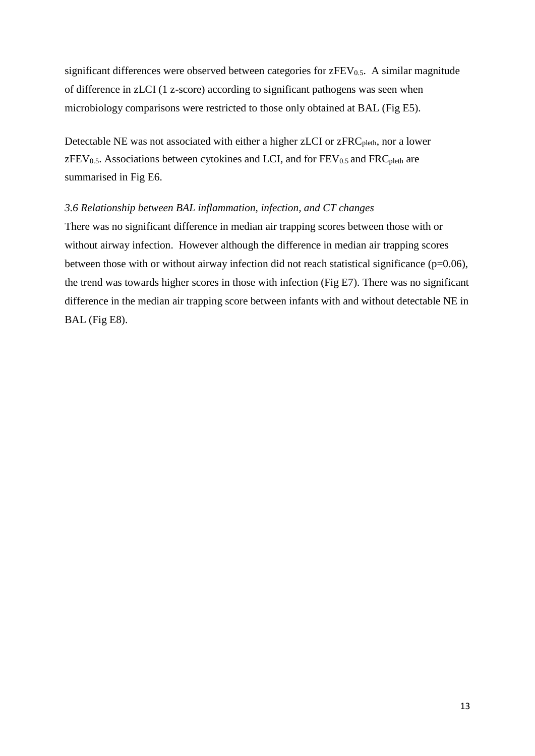significant differences were observed between categories for  $zFEV<sub>0.5</sub>$ . A similar magnitude of difference in zLCI (1 z-score) according to significant pathogens was seen when microbiology comparisons were restricted to those only obtained at BAL (Fig E5).

Detectable NE was not associated with either a higher zLCI or zFRC<sub>pleth</sub>, nor a lower  $zFEV<sub>0.5</sub>$ . Associations between cytokines and LCI, and for  $FEV<sub>0.5</sub>$  and  $FRC<sub>pleth</sub>$  are summarised in Fig E6.

## *3.6 Relationship between BAL inflammation, infection, and CT changes*

There was no significant difference in median air trapping scores between those with or without airway infection. However although the difference in median air trapping scores between those with or without airway infection did not reach statistical significance  $(p=0.06)$ , the trend was towards higher scores in those with infection (Fig E7). There was no significant difference in the median air trapping score between infants with and without detectable NE in BAL (Fig E8).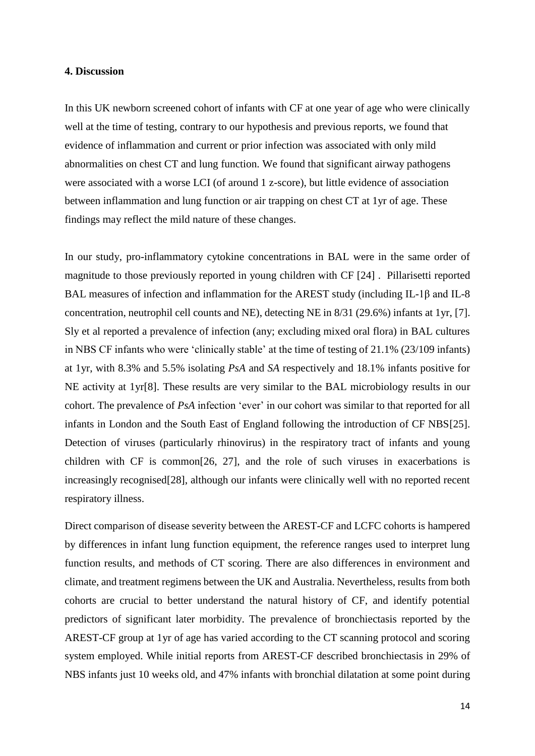#### **4. Discussion**

In this UK newborn screened cohort of infants with CF at one year of age who were clinically well at the time of testing, contrary to our hypothesis and previous reports, we found that evidence of inflammation and current or prior infection was associated with only mild abnormalities on chest CT and lung function. We found that significant airway pathogens were associated with a worse LCI (of around 1 z-score), but little evidence of association between inflammation and lung function or air trapping on chest CT at 1yr of age. These findings may reflect the mild nature of these changes.

In our study, pro-inflammatory cytokine concentrations in BAL were in the same order of magnitude to those previously reported in young children with CF [\[24\]](#page-22-6) . Pillarisetti reported BAL measures of infection and inflammation for the AREST study (including IL-1β and IL-8 concentration, neutrophil cell counts and NE), detecting NE in 8/31 (29.6%) infants at 1yr, [\[7\]](#page-21-4). Sly et al reported a prevalence of infection (any; excluding mixed oral flora) in BAL cultures in NBS CF infants who were 'clinically stable' at the time of testing of 21.1% (23/109 infants) at 1yr, with 8.3% and 5.5% isolating *PsA* and *SA* respectively and 18.1% infants positive for NE activity at 1yr[\[8\]](#page-21-5). These results are very similar to the BAL microbiology results in our cohort. The prevalence of *PsA* infection 'ever' in our cohort was similar to that reported for all infants in London and the South East of England following the introduction of CF NBS[\[25\]](#page-22-7). Detection of viruses (particularly rhinovirus) in the respiratory tract of infants and young children with CF is common[\[26,](#page-22-8) [27\]](#page-22-9), and the role of such viruses in exacerbations is increasingly recognised[\[28\]](#page-22-10), although our infants were clinically well with no reported recent respiratory illness.

Direct comparison of disease severity between the AREST-CF and LCFC cohorts is hampered by differences in infant lung function equipment, the reference ranges used to interpret lung function results, and methods of CT scoring. There are also differences in environment and climate, and treatment regimens between the UK and Australia. Nevertheless, results from both cohorts are crucial to better understand the natural history of CF, and identify potential predictors of significant later morbidity. The prevalence of bronchiectasis reported by the AREST-CF group at 1yr of age has varied according to the CT scanning protocol and scoring system employed. While initial reports from AREST-CF described bronchiectasis in 29% of NBS infants just 10 weeks old, and 47% infants with bronchial dilatation at some point during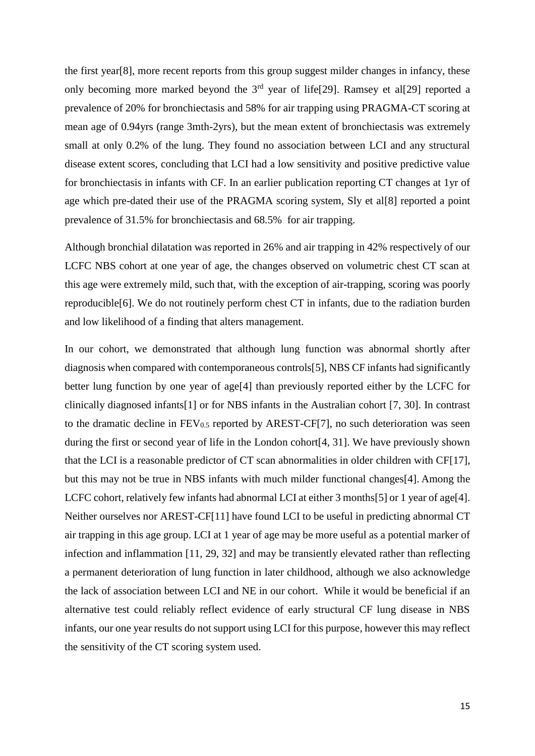the first year[\[8\]](#page-21-5), more recent reports from this group suggest milder changes in infancy, these only becoming more marked beyond the  $3<sup>rd</sup>$  year of life[\[29\]](#page-22-11). Ramsey et al[29] reported a prevalence of 20% for bronchiectasis and 58% for air trapping using PRAGMA-CT scoring at mean age of 0.94yrs (range 3mth-2yrs), but the mean extent of bronchiectasis was extremely small at only 0.2% of the lung. They found no association between LCI and any structural disease extent scores, concluding that LCI had a low sensitivity and positive predictive value for bronchiectasis in infants with CF. In an earlier publication reporting CT changes at 1yr of age which pre-dated their use of the PRAGMA scoring system, Sly et al[\[8\]](#page-21-5) reported a point prevalence of 31.5% for bronchiectasis and 68.5% for air trapping.

Although bronchial dilatation was reported in 26% and air trapping in 42% respectively of our LCFC NBS cohort at one year of age, the changes observed on volumetric chest CT scan at this age were extremely mild, such that, with the exception of air-trapping, scoring was poorly reproducible[\[6\]](#page-21-3). We do not routinely perform chest CT in infants, due to the radiation burden and low likelihood of a finding that alters management.

In our cohort, we demonstrated that although lung function was abnormal shortly after diagnosis when compared with contemporaneous controls[\[5\]](#page-21-2), NBS CF infants had significantly better lung function by one year of age[\[4\]](#page-21-1) than previously reported either by the LCFC for clinically diagnosed infants[\[1\]](#page-21-0) or for NBS infants in the Australian cohort [\[7,](#page-21-4) [30\]](#page-22-12). In contrast to the dramatic decline in  $FEV_{0.5}$  reported by AREST-CF[\[7\]](#page-21-4), no such deterioration was seen during the first or second year of life in the London cohort[\[4,](#page-21-1) [31\]](#page-22-13). We have previously shown that the LCI is a reasonable predictor of CT scan abnormalities in older children with CF[\[17\]](#page-21-12), but this may not be true in NBS infants with much milder functional changes[\[4\]](#page-21-1). Among the LCFC cohort, relatively few infants had abnormal LCI at either 3 months[\[5\]](#page-21-2) or 1 year of age[\[4\]](#page-21-1). Neither ourselves nor AREST-CF[11] have found LCI to be useful in predicting abnormal CT air trapping in this age group. LCI at 1 year of age may be more useful as a potential marker of infection and inflammation [\[11,](#page-21-8) [29,](#page-22-11) [32\]](#page-22-14) and may be transiently elevated rather than reflecting a permanent deterioration of lung function in later childhood, although we also acknowledge the lack of association between LCI and NE in our cohort. While it would be beneficial if an alternative test could reliably reflect evidence of early structural CF lung disease in NBS infants, our one year results do not support using LCI for this purpose, however this may reflect the sensitivity of the CT scoring system used.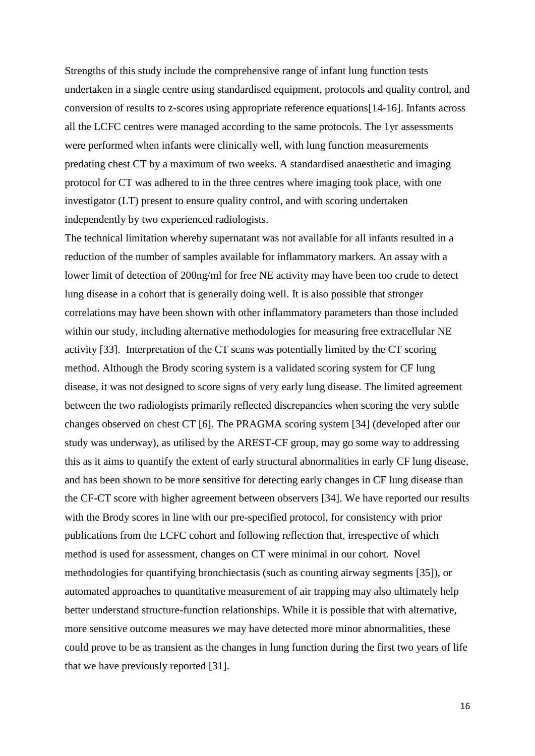Strengths of this study include the comprehensive range of infant lung function tests undertaken in a single centre using standardised equipment, protocols and quality control, and conversion of results to z-scores using appropriate reference equations[\[14-16\]](#page-21-11). Infants across all the LCFC centres were managed according to the same protocols. The 1yr assessments were performed when infants were clinically well, with lung function measurements predating chest CT by a maximum of two weeks. A standardised anaesthetic and imaging protocol for CT was adhered to in the three centres where imaging took place, with one investigator (LT) present to ensure quality control, and with scoring undertaken independently by two experienced radiologists.

The technical limitation whereby supernatant was not available for all infants resulted in a reduction of the number of samples available for inflammatory markers. An assay with a lower limit of detection of 200ng/ml for free NE activity may have been too crude to detect lung disease in a cohort that is generally doing well. It is also possible that stronger correlations may have been shown with other inflammatory parameters than those included within our study, including alternative methodologies for measuring free extracellular NE activity [\[33\]](#page-22-15). Interpretation of the CT scans was potentially limited by the CT scoring method. Although the Brody scoring system is a validated scoring system for CF lung disease, it was not designed to score signs of very early lung disease. The limited agreement between the two radiologists primarily reflected discrepancies when scoring the very subtle changes observed on chest CT [\[6\]](#page-21-3). The PRAGMA scoring system [\[34\]](#page-22-16) (developed after our study was underway), as utilised by the AREST-CF group, may go some way to addressing this as it aims to quantify the extent of early structural abnormalities in early CF lung disease, and has been shown to be more sensitive for detecting early changes in CF lung disease than the CF-CT score with higher agreement between observers [\[34\]](#page-22-16). We have reported our results with the Brody scores in line with our pre-specified protocol, for consistency with prior publications from the LCFC cohort and following reflection that, irrespective of which method is used for assessment, changes on CT were minimal in our cohort. Novel methodologies for quantifying bronchiectasis (such as counting airway segments [\[35\]](#page-23-0)), or automated approaches to quantitative measurement of air trapping may also ultimately help better understand structure-function relationships. While it is possible that with alternative, more sensitive outcome measures we may have detected more minor abnormalities, these could prove to be as transient as the changes in lung function during the first two years of life that we have previously reported [\[31\]](#page-22-13).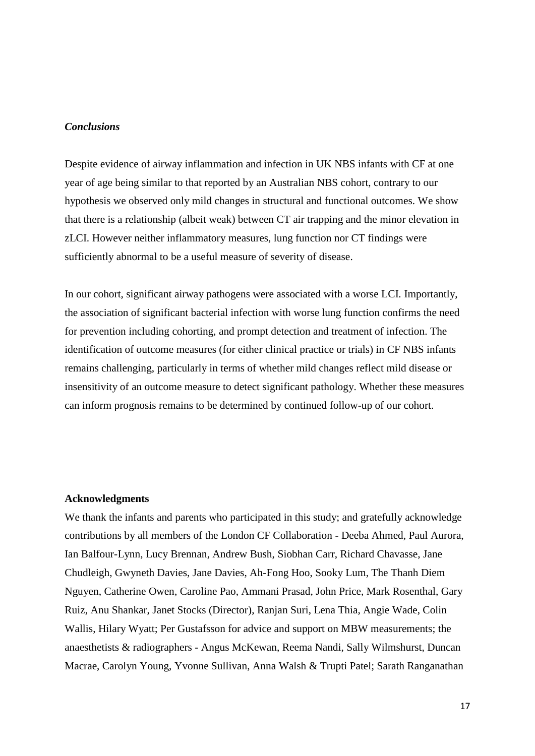## *Conclusions*

Despite evidence of airway inflammation and infection in UK NBS infants with CF at one year of age being similar to that reported by an Australian NBS cohort, contrary to our hypothesis we observed only mild changes in structural and functional outcomes. We show that there is a relationship (albeit weak) between CT air trapping and the minor elevation in zLCI. However neither inflammatory measures, lung function nor CT findings were sufficiently abnormal to be a useful measure of severity of disease.

In our cohort, significant airway pathogens were associated with a worse LCI. Importantly, the association of significant bacterial infection with worse lung function confirms the need for prevention including cohorting, and prompt detection and treatment of infection. The identification of outcome measures (for either clinical practice or trials) in CF NBS infants remains challenging, particularly in terms of whether mild changes reflect mild disease or insensitivity of an outcome measure to detect significant pathology. Whether these measures can inform prognosis remains to be determined by continued follow-up of our cohort.

#### **Acknowledgments**

We thank the infants and parents who participated in this study; and gratefully acknowledge contributions by all members of the London CF Collaboration - Deeba Ahmed, Paul Aurora, Ian Balfour-Lynn, Lucy Brennan, Andrew Bush, Siobhan Carr, Richard Chavasse, Jane Chudleigh, Gwyneth Davies, Jane Davies, Ah-Fong Hoo, Sooky Lum, The Thanh Diem Nguyen, Catherine Owen, Caroline Pao, Ammani Prasad, John Price, Mark Rosenthal, Gary Ruiz, Anu Shankar, Janet Stocks (Director), Ranjan Suri, Lena Thia, Angie Wade, Colin Wallis, Hilary Wyatt; Per Gustafsson for advice and support on MBW measurements; the anaesthetists & radiographers - Angus McKewan, Reema Nandi, Sally Wilmshurst, Duncan Macrae, Carolyn Young, Yvonne Sullivan, Anna Walsh & Trupti Patel; Sarath Ranganathan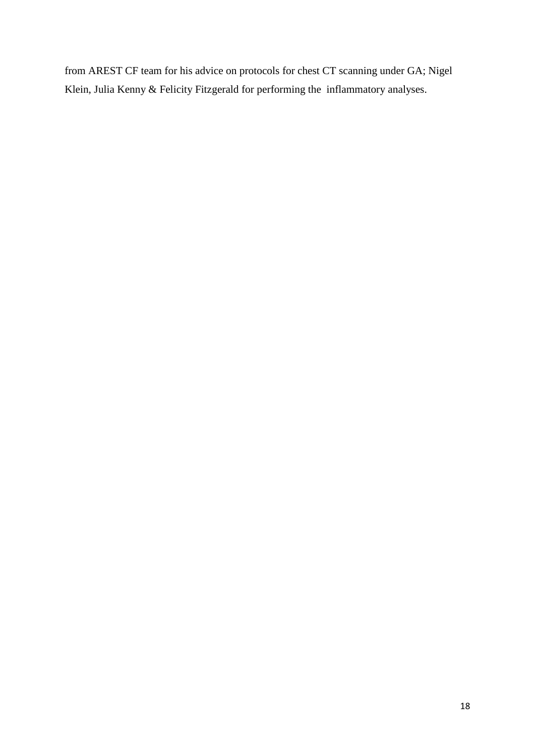from AREST CF team for his advice on protocols for chest CT scanning under GA; Nigel Klein, Julia Kenny & Felicity Fitzgerald for performing the inflammatory analyses.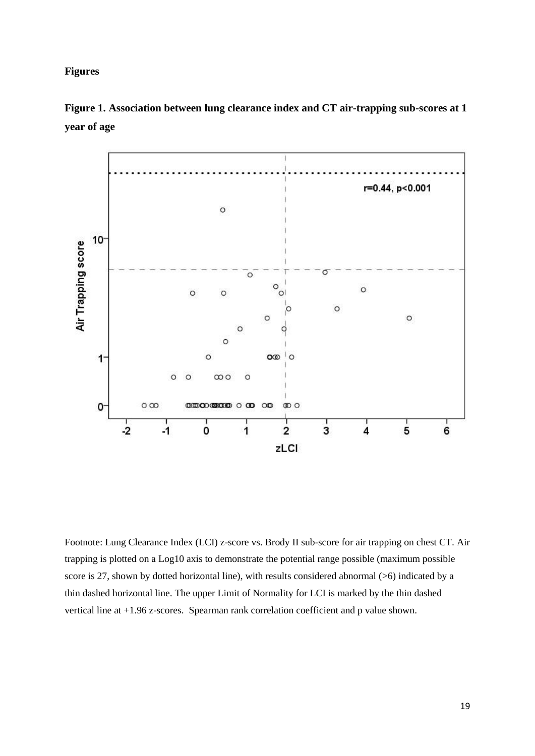## **Figures**



**Figure 1. Association between lung clearance index and CT air-trapping sub-scores at 1 year of age**

Footnote: Lung Clearance Index (LCI) z-score vs. Brody II sub-score for air trapping on chest CT. Air trapping is plotted on a Log10 axis to demonstrate the potential range possible (maximum possible score is 27, shown by dotted horizontal line), with results considered abnormal (>6) indicated by a thin dashed horizontal line. The upper Limit of Normality for LCI is marked by the thin dashed vertical line at +1.96 z-scores. Spearman rank correlation coefficient and p value shown.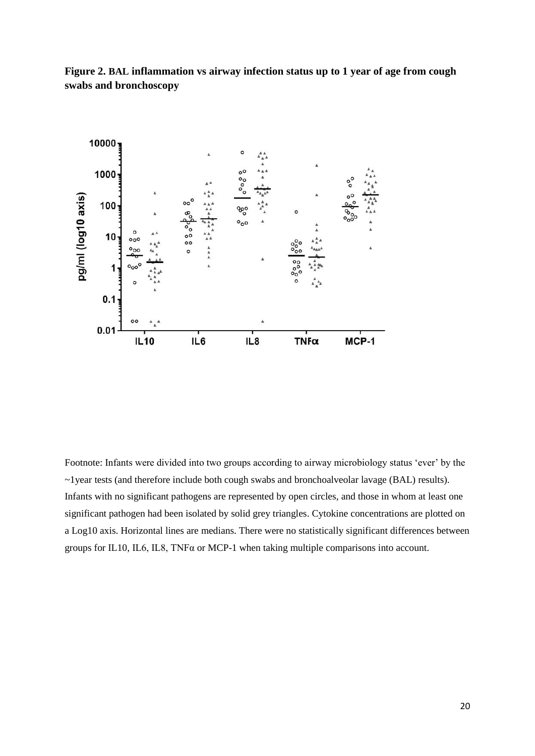**Figure 2. BAL inflammation vs airway infection status up to 1 year of age from cough swabs and bronchoscopy**



Footnote: Infants were divided into two groups according to airway microbiology status 'ever' by the ~1year tests (and therefore include both cough swabs and bronchoalveolar lavage (BAL) results). Infants with no significant pathogens are represented by open circles, and those in whom at least one significant pathogen had been isolated by solid grey triangles. Cytokine concentrations are plotted on a Log10 axis. Horizontal lines are medians. There were no statistically significant differences between groups for IL10, IL6, IL8, TNF $\alpha$  or MCP-1 when taking multiple comparisons into account.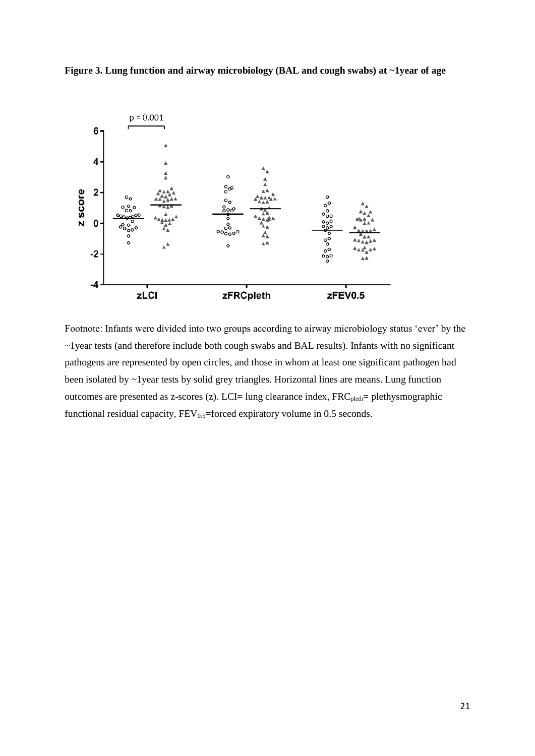



Footnote: Infants were divided into two groups according to airway microbiology status 'ever' by the ~1year tests (and therefore include both cough swabs and BAL results). Infants with no significant pathogens are represented by open circles, and those in whom at least one significant pathogen had been isolated by ~1year tests by solid grey triangles. Horizontal lines are means. Lung function outcomes are presented as z-scores (z). LCI= lung clearance index,  $FRC_{pleth}= plethysmographic$ functional residual capacity,  $FEV_{0.5}$ =forced expiratory volume in 0.5 seconds.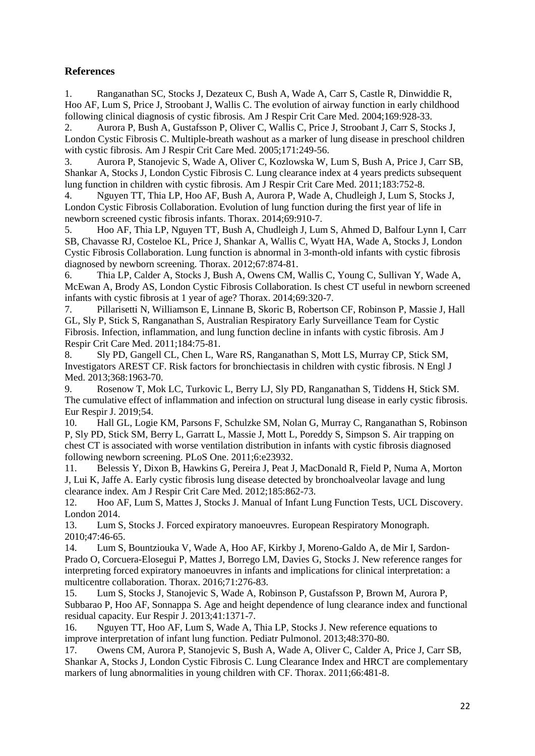# **References**

<span id="page-21-0"></span>1. Ranganathan SC, Stocks J, Dezateux C, Bush A, Wade A, Carr S, Castle R, Dinwiddie R, Hoo AF, Lum S, Price J, Stroobant J, Wallis C. The evolution of airway function in early childhood following clinical diagnosis of cystic fibrosis. Am J Respir Crit Care Med. 2004;169:928-33.

2. Aurora P, Bush A, Gustafsson P, Oliver C, Wallis C, Price J, Stroobant J, Carr S, Stocks J, London Cystic Fibrosis C. Multiple-breath washout as a marker of lung disease in preschool children with cystic fibrosis. Am J Respir Crit Care Med. 2005;171:249-56.

3. Aurora P, Stanojevic S, Wade A, Oliver C, Kozlowska W, Lum S, Bush A, Price J, Carr SB, Shankar A, Stocks J, London Cystic Fibrosis C. Lung clearance index at 4 years predicts subsequent lung function in children with cystic fibrosis. Am J Respir Crit Care Med. 2011;183:752-8.

<span id="page-21-1"></span>4. Nguyen TT, Thia LP, Hoo AF, Bush A, Aurora P, Wade A, Chudleigh J, Lum S, Stocks J, London Cystic Fibrosis Collaboration. Evolution of lung function during the first year of life in newborn screened cystic fibrosis infants. Thorax. 2014;69:910-7.

<span id="page-21-2"></span>5. Hoo AF, Thia LP, Nguyen TT, Bush A, Chudleigh J, Lum S, Ahmed D, Balfour Lynn I, Carr SB, Chavasse RJ, Costeloe KL, Price J, Shankar A, Wallis C, Wyatt HA, Wade A, Stocks J, London Cystic Fibrosis Collaboration. Lung function is abnormal in 3-month-old infants with cystic fibrosis diagnosed by newborn screening. Thorax. 2012;67:874-81.

<span id="page-21-3"></span>6. Thia LP, Calder A, Stocks J, Bush A, Owens CM, Wallis C, Young C, Sullivan Y, Wade A, McEwan A, Brody AS, London Cystic Fibrosis Collaboration. Is chest CT useful in newborn screened infants with cystic fibrosis at 1 year of age? Thorax. 2014;69:320-7.

<span id="page-21-4"></span>7. Pillarisetti N, Williamson E, Linnane B, Skoric B, Robertson CF, Robinson P, Massie J, Hall GL, Sly P, Stick S, Ranganathan S, Australian Respiratory Early Surveillance Team for Cystic Fibrosis. Infection, inflammation, and lung function decline in infants with cystic fibrosis. Am J Respir Crit Care Med. 2011;184:75-81.

<span id="page-21-5"></span>8. Sly PD, Gangell CL, Chen L, Ware RS, Ranganathan S, Mott LS, Murray CP, Stick SM, Investigators AREST CF. Risk factors for bronchiectasis in children with cystic fibrosis. N Engl J Med. 2013;368:1963-70.

<span id="page-21-6"></span>9. Rosenow T, Mok LC, Turkovic L, Berry LJ, Sly PD, Ranganathan S, Tiddens H, Stick SM. The cumulative effect of inflammation and infection on structural lung disease in early cystic fibrosis. Eur Respir J. 2019;54.

<span id="page-21-7"></span>10. Hall GL, Logie KM, Parsons F, Schulzke SM, Nolan G, Murray C, Ranganathan S, Robinson P, Sly PD, Stick SM, Berry L, Garratt L, Massie J, Mott L, Poreddy S, Simpson S. Air trapping on chest CT is associated with worse ventilation distribution in infants with cystic fibrosis diagnosed following newborn screening. PLoS One. 2011;6:e23932.

<span id="page-21-8"></span>11. Belessis Y, Dixon B, Hawkins G, Pereira J, Peat J, MacDonald R, Field P, Numa A, Morton J, Lui K, Jaffe A. Early cystic fibrosis lung disease detected by bronchoalveolar lavage and lung clearance index. Am J Respir Crit Care Med. 2012;185:862-73.

<span id="page-21-9"></span>12. Hoo AF, Lum S, Mattes J, Stocks J. Manual of Infant Lung Function Tests, UCL Discovery. London 2014.

<span id="page-21-10"></span>13. Lum S, Stocks J. Forced expiratory manoeuvres. European Respiratory Monograph. 2010;47:46-65.

<span id="page-21-11"></span>14. Lum S, Bountziouka V, Wade A, Hoo AF, Kirkby J, Moreno-Galdo A, de Mir I, Sardon-Prado O, Corcuera-Elosegui P, Mattes J, Borrego LM, Davies G, Stocks J. New reference ranges for interpreting forced expiratory manoeuvres in infants and implications for clinical interpretation: a multicentre collaboration. Thorax. 2016;71:276-83.

15. Lum S, Stocks J, Stanojevic S, Wade A, Robinson P, Gustafsson P, Brown M, Aurora P, Subbarao P, Hoo AF, Sonnappa S. Age and height dependence of lung clearance index and functional residual capacity. Eur Respir J. 2013;41:1371-7.

16. Nguyen TT, Hoo AF, Lum S, Wade A, Thia LP, Stocks J. New reference equations to improve interpretation of infant lung function. Pediatr Pulmonol. 2013;48:370-80.

<span id="page-21-12"></span>17. Owens CM, Aurora P, Stanojevic S, Bush A, Wade A, Oliver C, Calder A, Price J, Carr SB, Shankar A, Stocks J, London Cystic Fibrosis C. Lung Clearance Index and HRCT are complementary markers of lung abnormalities in young children with CF. Thorax. 2011;66:481-8.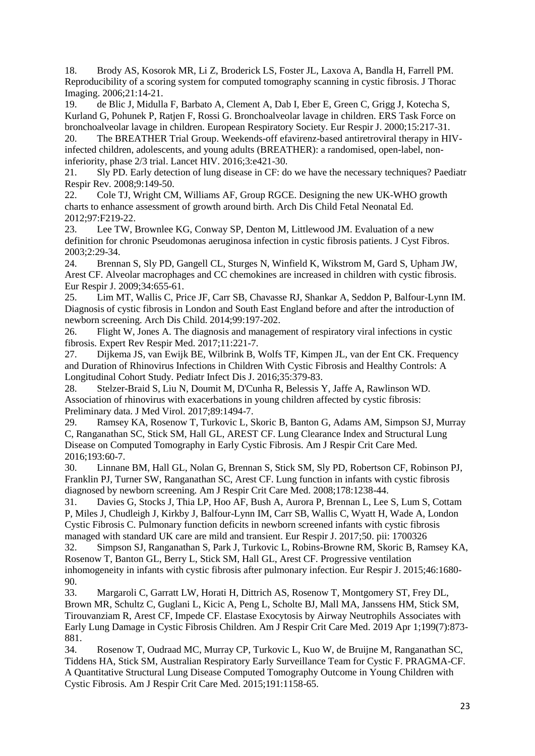<span id="page-22-0"></span>18. Brody AS, Kosorok MR, Li Z, Broderick LS, Foster JL, Laxova A, Bandla H, Farrell PM. Reproducibility of a scoring system for computed tomography scanning in cystic fibrosis. J Thorac Imaging. 2006;21:14-21.

<span id="page-22-1"></span>19. de Blic J, Midulla F, Barbato A, Clement A, Dab I, Eber E, Green C, Grigg J, Kotecha S, Kurland G, Pohunek P, Ratien F, Rossi G, Bronchoalveolar lavage in children. ERS Task Force on bronchoalveolar lavage in children. European Respiratory Society. Eur Respir J. 2000;15:217-31.

<span id="page-22-2"></span>20. The BREATHER Trial Group. Weekends-off efavirenz-based antiretroviral therapy in HIVinfected children, adolescents, and young adults (BREATHER): a randomised, open-label, noninferiority, phase 2/3 trial. Lancet HIV. 2016;3:e421-30.

<span id="page-22-3"></span>21. Sly PD. Early detection of lung disease in CF: do we have the necessary techniques? Paediatr Respir Rev. 2008;9:149-50.

<span id="page-22-4"></span>22. Cole TJ, Wright CM, Williams AF, Group RGCE. Designing the new UK-WHO growth charts to enhance assessment of growth around birth. Arch Dis Child Fetal Neonatal Ed. 2012;97:F219-22.

<span id="page-22-5"></span>23. Lee TW, Brownlee KG, Conway SP, Denton M, Littlewood JM. Evaluation of a new definition for chronic Pseudomonas aeruginosa infection in cystic fibrosis patients. J Cyst Fibros. 2003;2:29-34.

<span id="page-22-6"></span>24. Brennan S, Sly PD, Gangell CL, Sturges N, Winfield K, Wikstrom M, Gard S, Upham JW, Arest CF. Alveolar macrophages and CC chemokines are increased in children with cystic fibrosis. Eur Respir J. 2009;34:655-61.

<span id="page-22-7"></span>25. Lim MT, Wallis C, Price JF, Carr SB, Chavasse RJ, Shankar A, Seddon P, Balfour-Lynn IM. Diagnosis of cystic fibrosis in London and South East England before and after the introduction of newborn screening. Arch Dis Child. 2014;99:197-202.

<span id="page-22-8"></span>26. Flight W, Jones A. The diagnosis and management of respiratory viral infections in cystic fibrosis. Expert Rev Respir Med. 2017;11:221-7.

<span id="page-22-9"></span>27. Dijkema JS, van Ewijk BE, Wilbrink B, Wolfs TF, Kimpen JL, van der Ent CK. Frequency and Duration of Rhinovirus Infections in Children With Cystic Fibrosis and Healthy Controls: A Longitudinal Cohort Study. Pediatr Infect Dis J. 2016;35:379-83.

<span id="page-22-10"></span>28. Stelzer-Braid S, Liu N, Doumit M, D'Cunha R, Belessis Y, Jaffe A, Rawlinson WD. Association of rhinovirus with exacerbations in young children affected by cystic fibrosis: Preliminary data. J Med Virol. 2017;89:1494-7.

<span id="page-22-11"></span>29. Ramsey KA, Rosenow T, Turkovic L, Skoric B, Banton G, Adams AM, Simpson SJ, Murray C, Ranganathan SC, Stick SM, Hall GL, AREST CF. Lung Clearance Index and Structural Lung Disease on Computed Tomography in Early Cystic Fibrosis. Am J Respir Crit Care Med. 2016;193:60-7.

<span id="page-22-12"></span>30. Linnane BM, Hall GL, Nolan G, Brennan S, Stick SM, Sly PD, Robertson CF, Robinson PJ, Franklin PJ, Turner SW, Ranganathan SC, Arest CF. Lung function in infants with cystic fibrosis diagnosed by newborn screening. Am J Respir Crit Care Med. 2008;178:1238-44.

<span id="page-22-13"></span>31. Davies G, Stocks J, Thia LP, Hoo AF, Bush A, Aurora P, Brennan L, Lee S, Lum S, Cottam P, Miles J, Chudleigh J, Kirkby J, Balfour-Lynn IM, Carr SB, Wallis C, Wyatt H, Wade A, London Cystic Fibrosis C. Pulmonary function deficits in newborn screened infants with cystic fibrosis managed with standard UK care are mild and transient. Eur Respir J. 2017;50. pii: 1700326

<span id="page-22-14"></span>32. Simpson SJ, Ranganathan S, Park J, Turkovic L, Robins-Browne RM, Skoric B, Ramsey KA, Rosenow T, Banton GL, Berry L, Stick SM, Hall GL, Arest CF. Progressive ventilation inhomogeneity in infants with cystic fibrosis after pulmonary infection. Eur Respir J. 2015;46:1680- 90.

<span id="page-22-15"></span>33. Margaroli C, Garratt LW, Horati H, Dittrich AS, Rosenow T, Montgomery ST, Frey DL, Brown MR, Schultz C, Guglani L, Kicic A, Peng L, Scholte BJ, Mall MA, Janssens HM, Stick SM, Tirouvanziam R, Arest CF, Impede CF. Elastase Exocytosis by Airway Neutrophils Associates with Early Lung Damage in Cystic Fibrosis Children. Am J Respir Crit Care Med. 2019 Apr 1;199(7):873- 881.

<span id="page-22-16"></span>34. Rosenow T, Oudraad MC, Murray CP, Turkovic L, Kuo W, de Bruijne M, Ranganathan SC, Tiddens HA, Stick SM, Australian Respiratory Early Surveillance Team for Cystic F. PRAGMA-CF. A Quantitative Structural Lung Disease Computed Tomography Outcome in Young Children with Cystic Fibrosis. Am J Respir Crit Care Med. 2015;191:1158-65.